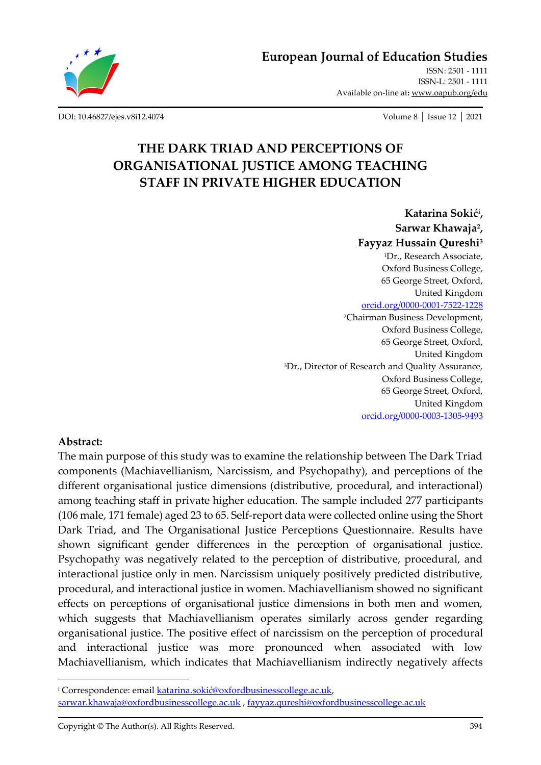

**[European Journal of Education Studies](http://oapub.org/edu/index.php/ejes)**

[ISSN: 2501 -](http://oapub.org/edu/index.php/ejes) 1111 [ISSN-L: 2501 -](http://oapub.org/edu/index.php/ejes) 1111 Available on-line at**:** [www.oapub.org/edu](http://www.oapub.org/edu)

[DOI: 10.46827/ejes.v8i12.4074](http://dx.doi.org/10.46827/ejes.v8i12.4074) Volume 8 │ Issue 12 │ 2021

# **THE DARK TRIAD AND PERCEPTIONS OF ORGANISATIONAL JUSTICE AMONG TEACHING STAFF IN PRIVATE HIGHER EDUCATION**

**Katarina Sokić<sup>i</sup> , Sarwar Khawaja<sup>2</sup> , Fayyaz Hussain Qureshi<sup>3</sup>** <sup>1</sup>Dr., Research Associate, Oxford Business College, 65 George Street, Oxford, United Kingdom [orcid.org/0000-0001-7522-1228](https://orcid.org/0000-0001-7522-1228) <sup>2</sup>Chairman Business Development, Oxford Business College, 65 George Street, Oxford, United Kingdom <sup>3</sup>Dr., Director of Research and Quality Assurance, Oxford Business College, 65 George Street, Oxford, United Kingdom [orcid.org/0000-0003-1305-9493](https://orcid.org/0000-0003-1305-9493)

## **Abstract:**

The main purpose of this study was to examine the relationship between The Dark Triad components (Machiavellianism, Narcissism, and Psychopathy), and perceptions of the different organisational justice dimensions (distributive, procedural, and interactional) among teaching staff in private higher education. The sample included 277 participants (106 male, 171 female) aged 23 to 65. Self-report data were collected online using the Short Dark Triad, and The Organisational Justice Perceptions Questionnaire. Results have shown significant gender differences in the perception of organisational justice. Psychopathy was negatively related to the perception of distributive, procedural, and interactional justice only in men. Narcissism uniquely positively predicted distributive, procedural, and interactional justice in women. Machiavellianism showed no significant effects on perceptions of organisational justice dimensions in both men and women, which suggests that Machiavellianism operates similarly across gender regarding organisational justice. The positive effect of narcissism on the perception of procedural and interactional justice was more pronounced when associated with low Machiavellianism, which indicates that Machiavellianism indirectly negatively affects

<sup>i</sup> Correspondence: email [katarina.sokić@oxfordbusinesscollege.ac.uk](mailto:katarina.sokić@oxfordbusinesscollege.ac.uk), [sarwar.khawaja@oxfordbusinesscollege.ac.uk](mailto:sarwar.khawaja@oxfordbusinesscollege.ac.uk) , [fayyaz.qureshi@oxfordbusinesscollege.ac.uk](mailto:fayyaz.qureshi@oxfordbusinesscollege.ac.uk)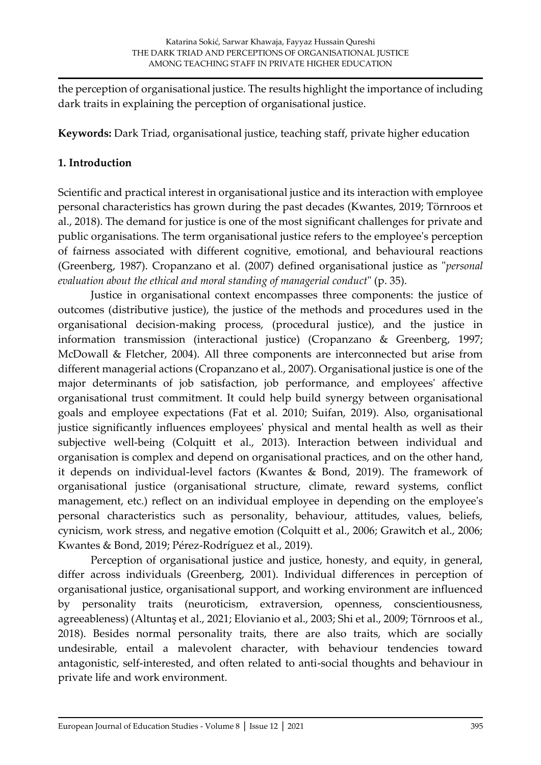the perception of organisational justice. The results highlight the importance of including dark traits in explaining the perception of organisational justice.

**Keywords:** Dark Triad, organisational justice, teaching staff, private higher education

## **1. Introduction**

Scientific and practical interest in organisational justice and its interaction with employee personal characteristics has grown during the past decades (Kwantes, 2019; Törnroos et al., 2018). The demand for justice is one of the most significant challenges for private and public organisations. The term organisational justice refers to the employee's perception of fairness associated with different cognitive, emotional, and behavioural reactions (Greenberg, 1987). Cropanzano et al. (2007) defined organisational justice as "*personal evaluation about the ethical and moral standing of managerial conduct*" (p. 35).

Justice in organisational context encompasses three components: the justice of outcomes (distributive justice), the justice of the methods and procedures used in the organisational decision-making process, (procedural justice), and the justice in information transmission (interactional justice) (Cropanzano & Greenberg, 1997; McDowall & Fletcher, 2004). All three components are interconnected but arise from different managerial actions (Cropanzano et al., 2007). Organisational justice is one of the major determinants of job satisfaction, job performance, and employees' affective organisational trust commitment. It could help build synergy between organisational goals and employee expectations (Fat et al. 2010; Suifan, 2019). Also, organisational justice significantly influences employees' physical and mental health as well as their subjective well-being (Colquitt et al., 2013). Interaction between individual and organisation is complex and depend on organisational practices, and on the other hand, it depends on individual-level factors (Kwantes & Bond, 2019). The framework of organisational justice (organisational structure, climate, reward systems, conflict management, etc.) reflect on an individual employee in depending on the employee's personal characteristics such as personality, behaviour, attitudes, values, beliefs, cynicism, work stress, and negative emotion (Colquitt et al., 2006; Grawitch et al., 2006; Kwantes & Bond, 2019; Pérez-Rodríguez et al., 2019).

Perception of organisational justice and justice, honesty, and equity, in general, differ across individuals (Greenberg, 2001). Individual differences in perception of organisational justice, organisational support, and working environment are influenced by personality traits (neuroticism, extraversion, openness, conscientiousness, agreeableness) (Altuntaş et al., 2021; Elovianio et al., 2003; Shi et al., 2009; Törnroos et al., 2018). Besides normal personality traits, there are also traits, which are socially undesirable, entail a malevolent character, with behaviour tendencies toward antagonistic, self-interested, and often related to anti-social thoughts and behaviour in private life and work environment.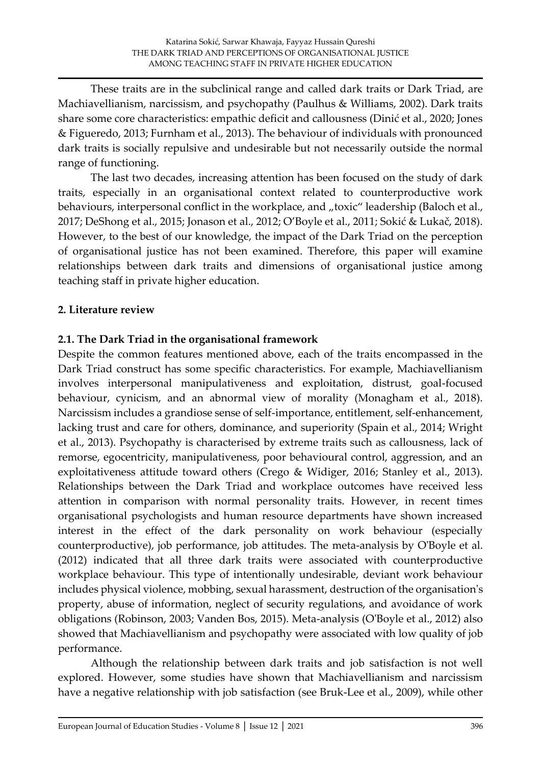These traits are in the subclinical range and called dark traits or Dark Triad, are Machiavellianism, narcissism, and psychopathy (Paulhus & Williams, 2002). Dark traits share some core characteristics: empathic deficit and callousness (Dinić et al., 2020; Jones & Figueredo, 2013; Furnham et al., 2013). The behaviour of individuals with pronounced dark traits is socially repulsive and undesirable but not necessarily outside the normal range of functioning.

The last two decades, increasing attention has been focused on the study of dark traits, especially in an organisational context related to counterproductive work behaviours, interpersonal conflict in the workplace, and "toxic" leadership (Baloch et al., 2017; DeShong et al., 2015; Jonason et al., 2012; O'Boyle et al., 2011; Sokić & Lukač, 2018). However, to the best of our knowledge, the impact of the Dark Triad on the perception of organisational justice has not been examined. Therefore, this paper will examine relationships between dark traits and dimensions of organisational justice among teaching staff in private higher education.

## **2. Literature review**

## **2.1. The Dark Triad in the organisational framework**

Despite the common features mentioned above, each of the traits encompassed in the Dark Triad construct has some specific characteristics. For example, Machiavellianism involves interpersonal manipulativeness and exploitation, distrust, goal-focused behaviour, cynicism, and an abnormal view of morality (Monagham et al., 2018). Narcissism includes a grandiose sense of self-importance, entitlement, self-enhancement, lacking trust and care for others, dominance, and superiority (Spain et al., 2014; Wright et al., 2013). Psychopathy is characterised by extreme traits such as callousness, lack of remorse, egocentricity, manipulativeness, poor behavioural control, aggression, and an exploitativeness attitude toward others (Crego & Widiger, 2016; Stanley et al., 2013). Relationships between the Dark Triad and workplace outcomes have received less attention in comparison with normal personality traits. However, in recent times organisational psychologists and human resource departments have shown increased interest in the effect of the dark personality on work behaviour (especially counterproductive), job performance, job attitudes. The meta-analysis by O'Boyle et al. (2012) indicated that all three dark traits were associated with counterproductive workplace behaviour. This type of intentionally undesirable, deviant work behaviour includes physical violence, mobbing, sexual harassment, destruction of the organisation's property, abuse of information, neglect of security regulations, and avoidance of work obligations (Robinson, 2003; Vanden Bos, 2015). Meta-analysis (O'Boyle et al., 2012) also showed that Machiavellianism and psychopathy were associated with low quality of job performance.

Although the relationship between dark traits and job satisfaction is not well explored. However, some studies have shown that Machiavellianism and narcissism have a negative relationship with job satisfaction (see Bruk-Lee et al., 2009), while other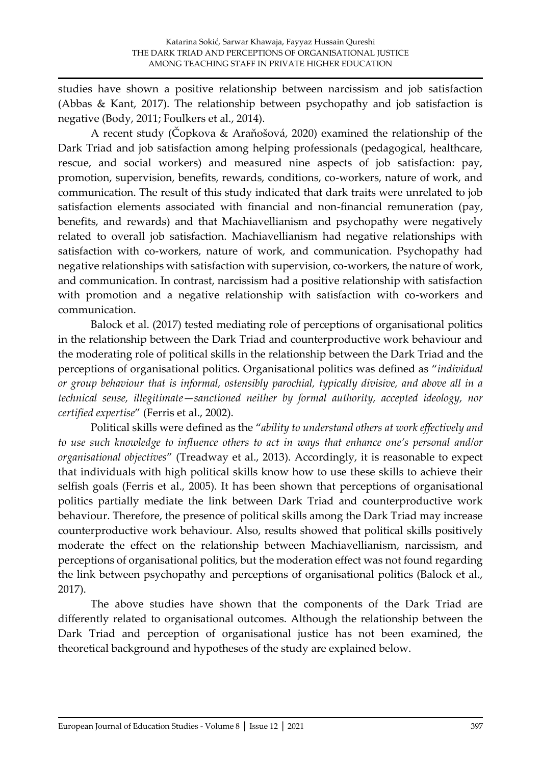studies have shown a positive relationship between narcissism and job satisfaction (Abbas & Kant, 2017). The relationship between psychopathy and job satisfaction is negative (Body, 2011; Foulkers et al., 2014).

A recent study (Čopkova & Araňošová, 2020) examined the relationship of the Dark Triad and job satisfaction among helping professionals (pedagogical, healthcare, rescue, and social workers) and measured nine aspects of job satisfaction: pay, promotion, supervision, benefits, rewards, conditions, co-workers, nature of work, and communication. The result of this study indicated that dark traits were unrelated to job satisfaction elements associated with financial and non-financial remuneration (pay, benefits, and rewards) and that Machiavellianism and psychopathy were negatively related to overall job satisfaction. Machiavellianism had negative relationships with satisfaction with co-workers, nature of work, and communication. Psychopathy had negative relationships with satisfaction with supervision, co-workers, the nature of work, and communication. In contrast, narcissism had a positive relationship with satisfaction with promotion and a negative relationship with satisfaction with co-workers and communication.

Balock et al. (2017) tested mediating role of perceptions of organisational politics in the relationship between the Dark Triad and counterproductive work behaviour and the moderating role of political skills in the relationship between the Dark Triad and the perceptions of organisational politics. Organisational politics was defined as "*individual or group behaviour that is informal, ostensibly parochial, typically divisive, and above all in a technical sense, illegitimate—sanctioned neither by formal authority, accepted ideology, nor certified expertise*" (Ferris et al., 2002).

Political skills were defined as the "*ability to understand others at work effectively and to use such knowledge to influence others to act in ways that enhance one's personal and/or organisational objectives*" (Treadway et al., 2013). Accordingly, it is reasonable to expect that individuals with high political skills know how to use these skills to achieve their selfish goals (Ferris et al., 2005). It has been shown that perceptions of organisational politics partially mediate the link between Dark Triad and counterproductive work behaviour. Therefore, the presence of political skills among the Dark Triad may increase counterproductive work behaviour. Also, results showed that political skills positively moderate the effect on the relationship between Machiavellianism, narcissism, and perceptions of organisational politics, but the moderation effect was not found regarding the link between psychopathy and perceptions of organisational politics (Balock et al., 2017).

The above studies have shown that the components of the Dark Triad are differently related to organisational outcomes. Although the relationship between the Dark Triad and perception of organisational justice has not been examined, the theoretical background and hypotheses of the study are explained below.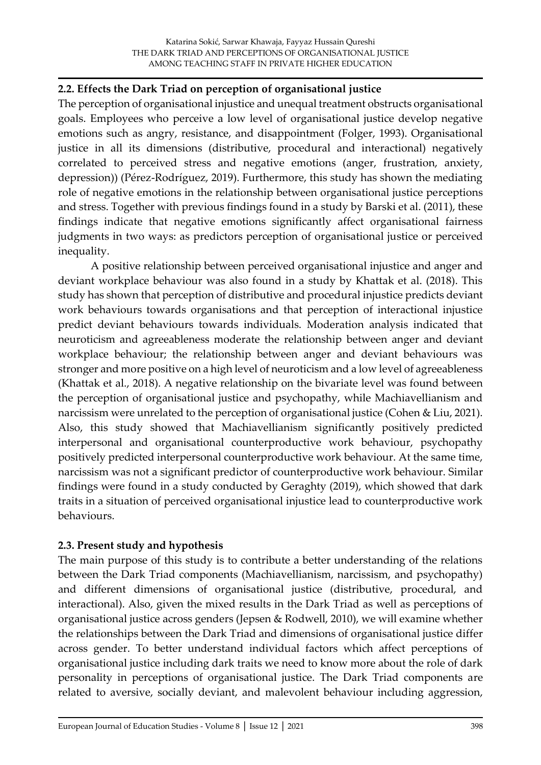## **2.2. Effects the Dark Triad on perception of organisational justice**

The perception of organisational injustice and unequal treatment obstructs organisational goals. Employees who perceive a low level of organisational justice develop negative emotions such as angry, resistance, and disappointment (Folger, 1993). Organisational justice in all its dimensions (distributive, procedural and interactional) negatively correlated to perceived stress and negative emotions (anger, frustration, anxiety, depression)) (Pérez-Rodríguez, 2019). Furthermore, this study has shown the mediating role of negative emotions in the relationship between organisational justice perceptions and stress. Together with previous findings found in a study by Barski et al. (2011), these findings indicate that negative emotions significantly affect organisational fairness judgments in two ways: as predictors perception of organisational justice or perceived inequality.

A positive relationship between perceived organisational injustice and anger and deviant workplace behaviour was also found in a study by Khattak et al. (2018). This study has shown that perception of distributive and procedural injustice predicts deviant work behaviours towards organisations and that perception of interactional injustice predict deviant behaviours towards individuals. Moderation analysis indicated that neuroticism and agreeableness moderate the relationship between anger and deviant workplace behaviour; the relationship between anger and deviant behaviours was stronger and more positive on a high level of neuroticism and a low level of agreeableness (Khattak et al., 2018). A negative relationship on the bivariate level was found between the perception of organisational justice and psychopathy, while Machiavellianism and narcissism were unrelated to the perception of organisational justice (Cohen & Liu, 2021). Also, this study showed that Machiavellianism significantly positively predicted interpersonal and organisational counterproductive work behaviour, psychopathy positively predicted interpersonal counterproductive work behaviour. At the same time, narcissism was not a significant predictor of counterproductive work behaviour. Similar findings were found in a study conducted by Geraghty (2019), which showed that dark traits in a situation of perceived organisational injustice lead to counterproductive work behaviours.

## **2.3. Present study and hypothesis**

The main purpose of this study is to contribute a better understanding of the relations between the Dark Triad components (Machiavellianism, narcissism, and psychopathy) and different dimensions of organisational justice (distributive, procedural, and interactional). Also, given the mixed results in the Dark Triad as well as perceptions of organisational justice across genders (Jepsen & Rodwell, 2010), we will examine whether the relationships between the Dark Triad and dimensions of organisational justice differ across gender. To better understand individual factors which affect perceptions of organisational justice including dark traits we need to know more about the role of dark personality in perceptions of organisational justice. The Dark Triad components are related to aversive, socially deviant, and malevolent behaviour including aggression,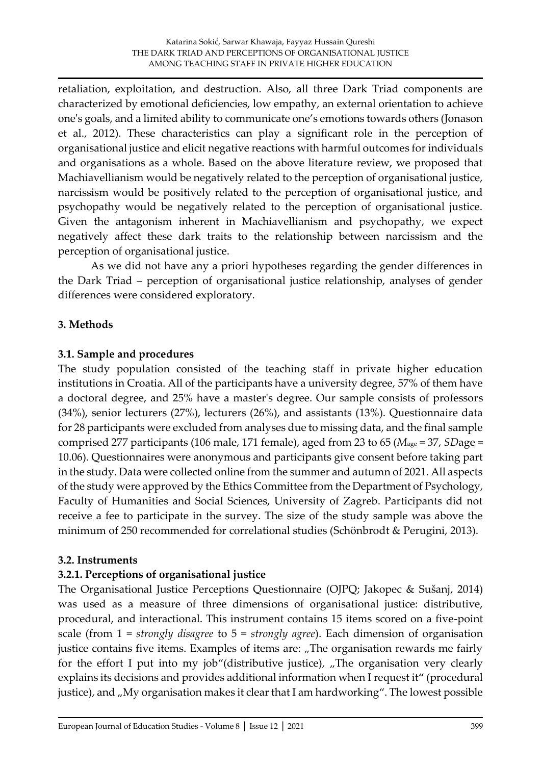retaliation, exploitation, and destruction. Also, all three Dark Triad components are characterized by emotional deficiencies, low empathy, an external orientation to achieve one's goals, and a limited ability to communicate one's emotions towards others (Jonason et al., 2012). These characteristics can play a significant role in the perception of organisational justice and elicit negative reactions with harmful outcomes for individuals and organisations as a whole. Based on the above literature review, we proposed that Machiavellianism would be negatively related to the perception of organisational justice, narcissism would be positively related to the perception of organisational justice, and psychopathy would be negatively related to the perception of organisational justice. Given the antagonism inherent in Machiavellianism and psychopathy, we expect negatively affect these dark traits to the relationship between narcissism and the perception of organisational justice.

As we did not have any a priori hypotheses regarding the gender differences in the Dark Triad – perception of organisational justice relationship, analyses of gender differences were considered exploratory.

# **3. Methods**

# **3.1. Sample and procedures**

The study population consisted of the teaching staff in private higher education institutions in Croatia. All of the participants have a university degree, 57% of them have a doctoral degree, and 25% have a master's degree. Our sample consists of professors (34%), senior lecturers (27%), lecturers (26%), and assistants (13%). Questionnaire data for 28 participants were excluded from analyses due to missing data, and the final sample comprised 277 participants (106 male, 171 female), aged from 23 to 65 (*M*age = 37, *SD*age = 10.06). Questionnaires were anonymous and participants give consent before taking part in the study. Data were collected online from the summer and autumn of 2021. All aspects of the study were approved by the Ethics Committee from the Department of Psychology, Faculty of Humanities and Social Sciences, University of Zagreb. Participants did not receive a fee to participate in the survey. The size of the study sample was above the minimum of 250 recommended for correlational studies (Schönbrodt & Perugini, 2013).

# **3.2. Instruments**

# **3.2.1. Perceptions of organisational justice**

The Organisational Justice Perceptions Questionnaire (OJPQ; Jakopec & Sušanj, 2014) was used as a measure of three dimensions of organisational justice: distributive, procedural, and interactional. This instrument contains 15 items scored on a five-point scale (from 1 = *strongly disagree* to 5 = *strongly agree*). Each dimension of organisation justice contains five items. Examples of items are: "The organisation rewards me fairly for the effort I put into my job"(distributive justice),  $\pi$ The organisation very clearly explains its decisions and provides additional information when I request it" (procedural justice), and "My organisation makes it clear that I am hardworking". The lowest possible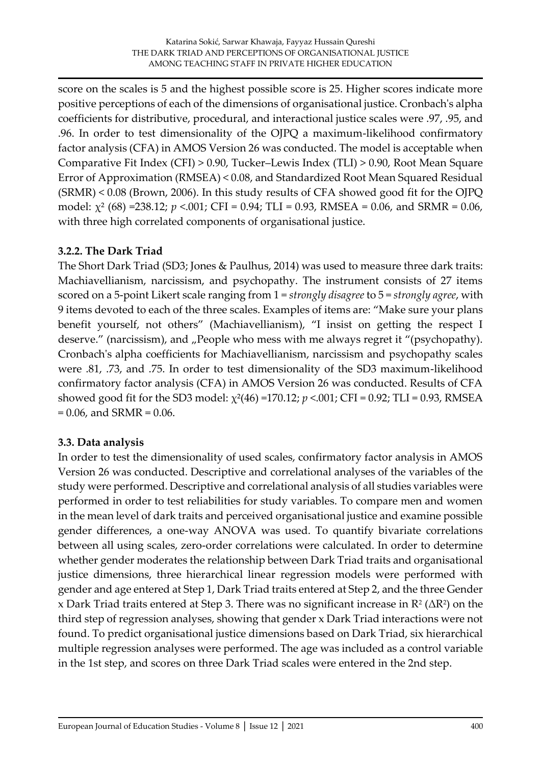score on the scales is 5 and the highest possible score is 25. Higher scores indicate more positive perceptions of each of the dimensions of organisational justice. Cronbach's alpha coefficients for distributive, procedural, and interactional justice scales were .97, .95, and .96. In order to test dimensionality of the OJPQ a maximum-likelihood confirmatory factor analysis (CFA) in AMOS Version 26 was conducted. The model is acceptable when Comparative Fit Index (CFI) > 0.90, Tucker–Lewis Index (TLI) > 0.90, Root Mean Square Error of Approximation (RMSEA) < 0.08, and Standardized Root Mean Squared Residual (SRMR) < 0.08 (Brown, 2006). In this study results of CFA showed good fit for the OJPQ model:  $\chi^2$  (68) =238.12; *p* <.001; CFI = 0.94; TLI = 0.93, RMSEA = 0.06, and SRMR = 0.06, with three high correlated components of organisational justice.

# **3.2.2. The Dark Triad**

The Short Dark Triad (SD3; Jones & Paulhus, 2014) was used to measure three dark traits: Machiavellianism, narcissism, and psychopathy. The instrument consists of 27 items scored on a 5-point Likert scale ranging from 1 = *strongly disagree* to 5 = *strongly agree*, with 9 items devoted to each of the three scales. Examples of items are: "Make sure your plans benefit yourself, not others" (Machiavellianism), "I insist on getting the respect I deserve." (narcissism), and , People who mess with me always regret it "(psychopathy). Cronbach's alpha coefficients for Machiavellianism, narcissism and psychopathy scales were .81, .73, and .75. In order to test dimensionality of the SD3 maximum-likelihood confirmatory factor analysis (CFA) in AMOS Version 26 was conducted. Results of CFA showed good fit for the SD3 model: χ²(46) =170.12; *p* <.001; CFI = 0.92; TLI = 0.93, RMSEA  $= 0.06$ , and SRMR  $= 0.06$ .

## **3.3. Data analysis**

In order to test the dimensionality of used scales, confirmatory factor analysis in AMOS Version 26 was conducted. Descriptive and correlational analyses of the variables of the study were performed. Descriptive and correlational analysis of all studies variables were performed in order to test reliabilities for study variables. To compare men and women in the mean level of dark traits and perceived organisational justice and examine possible gender differences, a one-way ANOVA was used. To quantify bivariate correlations between all using scales, zero-order correlations were calculated. In order to determine whether gender moderates the relationship between Dark Triad traits and organisational justice dimensions, three hierarchical linear regression models were performed with gender and age entered at Step 1, Dark Triad traits entered at Step 2, and the three Gender x Dark Triad traits entered at Step 3. There was no significant increase in  $\mathsf{R}^\mathsf{2}\left(\Delta\mathsf{R}^\mathsf{2}\right)$  on the third step of regression analyses, showing that gender x Dark Triad interactions were not found. To predict organisational justice dimensions based on Dark Triad, six hierarchical multiple regression analyses were performed. The age was included as a control variable in the 1st step, and scores on three Dark Triad scales were entered in the 2nd step.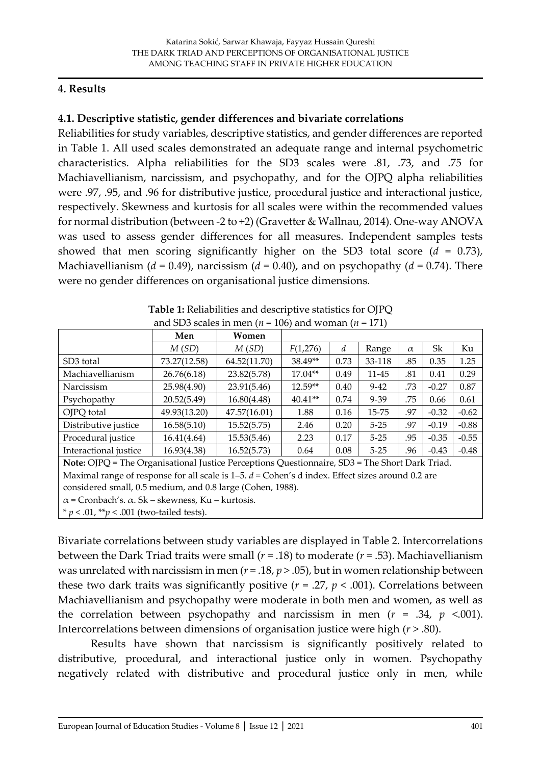#### **4. Results**

## **4.1. Descriptive statistic, gender differences and bivariate correlations**

Reliabilities for study variables, descriptive statistics, and gender differences are reported in Table 1. All used scales demonstrated an adequate range and internal psychometric characteristics. Alpha reliabilities for the SD3 scales were .81, .73, and .75 for Machiavellianism, narcissism, and psychopathy, and for the OJPQ alpha reliabilities were .97, .95, and .96 for distributive justice, procedural justice and interactional justice, respectively. Skewness and kurtosis for all scales were within the recommended values for normal distribution (between -2 to +2) (Gravetter & Wallnau, 2014). One-way ANOVA was used to assess gender differences for all measures. Independent samples tests showed that men scoring significantly higher on the SD3 total score (*d* = 0.73), Machiavellianism ( $d = 0.49$ ), narcissism ( $d = 0.40$ ), and on psychopathy ( $d = 0.74$ ). There were no gender differences on organisational justice dimensions.

|                                                                                                               | Men          | Women        |                                                 |      |          |          |         |         |  |  |  |  |
|---------------------------------------------------------------------------------------------------------------|--------------|--------------|-------------------------------------------------|------|----------|----------|---------|---------|--|--|--|--|
|                                                                                                               | M(SD)        | M(SD)        | F(1,276)                                        | d    | Range    | $\alpha$ | Sk      | Ku      |  |  |  |  |
| SD <sub>3</sub> total                                                                                         | 73.27(12.58) | 64.52(11.70) | 38.49**                                         | 0.73 | 33-118   | .85      | 0.35    | 1.25    |  |  |  |  |
| Machiavellianism                                                                                              | 26.76(6.18)  | 23.82(5.78)  | $17.04**$                                       | 0.49 | 11-45    | .81      | 0.41    | 0.29    |  |  |  |  |
| Narcissism                                                                                                    | 25.98(4.90)  | 23.91(5.46)  | $12.59**$                                       | 0.40 | $9-42$   | .73      | $-0.27$ | 0.87    |  |  |  |  |
| Psychopathy                                                                                                   | 20.52(5.49)  | 16.80(4.48)  | $40.41**$                                       | 0.74 | 9-39     | .75      | 0.66    | 0.61    |  |  |  |  |
| OJPQ total                                                                                                    | 49.93(13.20) | 47.57(16.01) | 1.88                                            | 0.16 | 15-75    | .97      | $-0.32$ | $-0.62$ |  |  |  |  |
| Distributive justice                                                                                          | 16.58(5.10)  | 15.52(5.75)  | 2.46                                            | 0.20 | $5 - 25$ | .97      | $-0.19$ | $-0.88$ |  |  |  |  |
| Procedural justice                                                                                            | 16.41(4.64)  | 15.53(5.46)  | 2.23                                            | 0.17 | $5 - 25$ | .95      | $-0.35$ | $-0.55$ |  |  |  |  |
| Interactional justice                                                                                         | 16.93(4.38)  | 16.52(5.73)  | 0.64                                            | 0.08 | $5 - 25$ | .96      | $-0.43$ | $-0.48$ |  |  |  |  |
| Note: OJPQ = The Organisational Justice Perceptions Questionnaire, SD3 = The Short Dark Triad.                |              |              |                                                 |      |          |          |         |         |  |  |  |  |
| Maximal range of response for all scale is $1-5$ . $d = \text{Cohen's d index}$ . Effect sizes around 0.2 are |              |              |                                                 |      |          |          |         |         |  |  |  |  |
| considered small, 0.5 medium, and 0.8 large (Cohen, 1988).                                                    |              |              |                                                 |      |          |          |         |         |  |  |  |  |
| $\alpha$ = Cronbach's. $\alpha$ . Sk – skewness, Ku – kurtosis.                                               |              |              |                                                 |      |          |          |         |         |  |  |  |  |
|                                                                                                               |              |              | * $p < .01$ , ** $p < .001$ (two-tailed tests). |      |          |          |         |         |  |  |  |  |

| Table 1: Reliabilities and descriptive statistics for OJPQ  |
|-------------------------------------------------------------|
| and SD3 scales in men ( $n = 106$ ) and woman ( $n = 171$ ) |

Bivariate correlations between study variables are displayed in Table 2. Intercorrelations between the Dark Triad traits were small (*r* = .18) to moderate (*r* = .53). Machiavellianism was unrelated with narcissism in men ( $r = 0.18$ ,  $p > 0.05$ ), but in women relationship between these two dark traits was significantly positive ( $r = .27$ ,  $p < .001$ ). Correlations between Machiavellianism and psychopathy were moderate in both men and women, as well as the correlation between psychopathy and narcissism in men ( $r = .34$ ,  $p < .001$ ). Intercorrelations between dimensions of organisation justice were high (*r* > .80).

Results have shown that narcissism is significantly positively related to distributive, procedural, and interactional justice only in women. Psychopathy negatively related with distributive and procedural justice only in men, while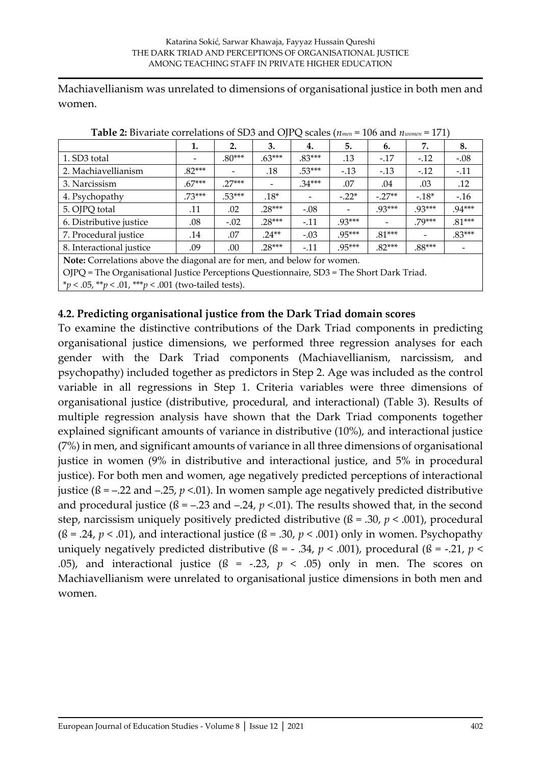Machiavellianism was unrelated to dimensions of organisational justice in both men and women.

| <b>THEIR FIGHTER</b> COLLEGED OF SECTION OF $\sigma$ is the second of $\sigma$<br>TOO MILL INVOIND<br>. <i>.</i> |          |          |          |                          |          |          |          |          |  |  |
|------------------------------------------------------------------------------------------------------------------|----------|----------|----------|--------------------------|----------|----------|----------|----------|--|--|
|                                                                                                                  | 1.       | 2.       | 3.       | 4.                       | 5.       | 6.       | 7.       | 8.       |  |  |
| 1. SD3 total                                                                                                     |          | $.80***$ | $.63***$ | $.83***$                 | .13      | $-.17$   | $-.12$   | $-.08$   |  |  |
| 2. Machiavellianism                                                                                              | $.82***$ |          | .18      | $.53***$                 | $-.13$   | $-.13$   | $-12$    | $-.11$   |  |  |
| 3. Narcissism                                                                                                    | $.67***$ | $27***$  |          | $.34***$                 | .07      | .04      | .03      | .12      |  |  |
| 4. Psychopathy                                                                                                   | $.73***$ | $.53***$ | $.18*$   | $\overline{\phantom{a}}$ | $-.22*$  | $-.27**$ | $-18*$   | $-.16$   |  |  |
| 5. OJPQ total                                                                                                    | .11      | .02      | 28***    | $-.08$                   |          | 93***    | $.93***$ | $.94***$ |  |  |
| 6. Distributive justice                                                                                          | .08      | $-.02$   | $.28***$ | $-.11$                   | $.93***$ |          | 79***    | $.81***$ |  |  |
| 7. Procedural justice                                                                                            | .14      | .07      | $24**$   | $-.03$                   | $.95***$ | $.81***$ |          | $.83***$ |  |  |
| 8. Interactional justice                                                                                         | .09      | .00      | $.28***$ | $-.11$                   | .95***   | $.82***$ | $.88***$ |          |  |  |
| Note: Correlations above the diagonal are for men, and below for women.                                          |          |          |          |                          |          |          |          |          |  |  |
| OJPQ = The Organisational Justice Perceptions Questionnaire, SD3 = The Short Dark Triad.                         |          |          |          |                          |          |          |          |          |  |  |

**Table 2:** Bivariate correlations of SD3 and OJPQ scales (*nmen* = 106 and *nwomen* = 171)

\**p* < .05, \*\**p* < .01, \*\*\**p* < .001 (two-tailed tests).

#### **4.2. Predicting organisational justice from the Dark Triad domain scores**

To examine the distinctive contributions of the Dark Triad components in predicting organisational justice dimensions, we performed three regression analyses for each gender with the Dark Triad components (Machiavellianism, narcissism, and psychopathy) included together as predictors in Step 2. Age was included as the control variable in all regressions in Step 1. Criteria variables were three dimensions of organisational justice (distributive, procedural, and interactional) (Table 3). Results of multiple regression analysis have shown that the Dark Triad components together explained significant amounts of variance in distributive (10%), and interactional justice (7%) in men, and significant amounts of variance in all three dimensions of organisational justice in women (9% in distributive and interactional justice, and 5% in procedural justice). For both men and women, age negatively predicted perceptions of interactional justice ( $\beta$  = -.22 and -.25,  $p$  <.01). In women sample age negatively predicted distributive and procedural justice  $(\beta = -.23 \text{ and } -.24, p < .01)$ . The results showed that, in the second step, narcissism uniquely positively predicted distributive (ß = .30, *p* < .001), procedural ( $\beta$  = .24,  $p$  < .01), and interactional justice ( $\beta$  = .30,  $p$  < .001) only in women. Psychopathy uniquely negatively predicted distributive ( $\beta$  = -.34,  $p$  < .001), procedural ( $\beta$  = -.21,  $p$  < .05), and interactional justice  $(6 = -0.23, p < 0.05)$  only in men. The scores on Machiavellianism were unrelated to organisational justice dimensions in both men and women.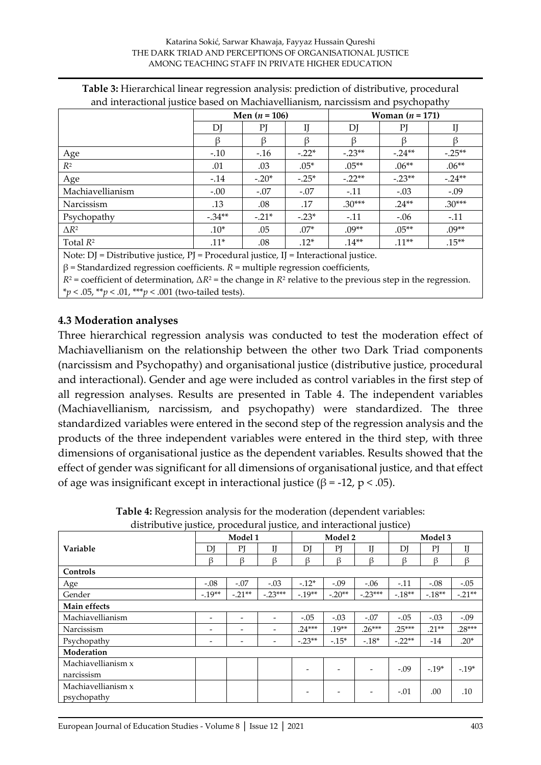|                  |         | Men $(n = 106)$ |         | Woman $(n = 171)$ |          |          |  |  |
|------------------|---------|-----------------|---------|-------------------|----------|----------|--|--|
|                  | DJ      | PJ              | IJ      | DJ                | PI       | IJ       |  |  |
|                  |         |                 |         |                   |          |          |  |  |
| Age              | $-.10$  | $-.16$          | $-.22*$ | $-.23**$          | $-.24**$ | $-.25**$ |  |  |
| $R^2$            | .01     | .03             | $.05*$  | $.05**$           | $.06**$  | $.06**$  |  |  |
| Age              | $-.14$  | $-.20*$         | $-.25*$ | $-.22**$          | $-.23**$ | $-.24**$ |  |  |
| Machiavellianism | $-.00$  | $-.07$          | $-.07$  | $-.11$            | $-.03$   | $-.09$   |  |  |
| Narcissism       | .13     | .08             | .17     | $.30***$          | $.24**$  | $.30***$ |  |  |
| Psychopathy      | $-34**$ | $-.21*$         | $-.23*$ | $-.11$            | $-.06$   | $-.11$   |  |  |
| $\Delta R^2$     | $.10*$  | .05             | $.07*$  | $.09**$           | $.05***$ | $.09**$  |  |  |
| Total $R^2$      | $.11*$  | .08             | $.12*$  | $.14**$           | $.11**$  | $.15**$  |  |  |

|  | Table 3: Hierarchical linear regression analysis: prediction of distributive, procedural |  |
|--|------------------------------------------------------------------------------------------|--|
|  | and interactional justice based on Machiavellianism, narcissism and psychopathy          |  |

Note: DJ = Distributive justice, PJ = Procedural justice, IJ = Interactional justice.

 $β = Standardized regression coefficients. R = multiple regression coefficients,$ 

*R*<sup>2</sup> = coefficient of determination, Δ*R*<sup>2</sup> = the change in *R*<sup>2</sup> relative to the previous step in the regression. \**p* < .05, \*\**p* < .01, \*\*\**p* < .001 (two-tailed tests).

#### **4.3 Moderation analyses**

Three hierarchical regression analysis was conducted to test the moderation effect of Machiavellianism on the relationship between the other two Dark Triad components (narcissism and Psychopathy) and organisational justice (distributive justice, procedural and interactional). Gender and age were included as control variables in the first step of all regression analyses. Results are presented in Table 4. The independent variables (Machiavellianism, narcissism, and psychopathy) were standardized. The three standardized variables were entered in the second step of the regression analysis and the products of the three independent variables were entered in the third step, with three dimensions of organisational justice as the dependent variables. Results showed that the effect of gender was significant for all dimensions of organisational justice, and that effect of age was insignificant except in interactional justice ( $\beta$  = -12, p < .05).

|                    | Model 1           |                          |                          | Model 2   |          |          | Model 3  |         |          |
|--------------------|-------------------|--------------------------|--------------------------|-----------|----------|----------|----------|---------|----------|
| Variable           | DJ                | PI                       | IJ                       | DJ        | PJ       | IJ       | DJ       | PJ      | IJ       |
|                    | ß                 | $\beta$                  | $\beta$                  | ß         | $\beta$  | $\beta$  | ß        | $\beta$ | $\beta$  |
| Controls           |                   |                          |                          |           |          |          |          |         |          |
| Age                | $-.08$            | $-.07$                   | $-.03$                   | $-12*$    | $-.09$   | $-.06$   | $-.11$   | $-.08$  | $-.05$   |
| Gender             | $-19**$           | $-0.21**$                | $-23***$                 | $-19**$   | $-.20**$ | $-23***$ | $-18**$  | $-18**$ | $-.21**$ |
| Main effects       |                   |                          |                          |           |          |          |          |         |          |
| Machiavellianism   | -                 | $\overline{\phantom{a}}$ | $\overline{\phantom{a}}$ | $-.05$    | $-.03$   | $-.07$   | $-.05$   | $-.03$  | $-.09$   |
| Narcissism         | $\qquad \qquad -$ | $\overline{\phantom{a}}$ | $\overline{\phantom{a}}$ | $.24***$  | $.19**$  | $.26***$ | $.25***$ | $.21**$ | $.28***$ |
| Psychopathy        | -                 | $\overline{\phantom{a}}$ | $\overline{\phantom{a}}$ | $-0.23**$ | $-.15*$  | $-18*$   | $-.22**$ | $-14$   | $.20*$   |
| Moderation         |                   |                          |                          |           |          |          |          |         |          |
| Machiavellianism x |                   |                          |                          |           |          |          | $-.09$   | $-19*$  | $-.19*$  |
| narcissism         |                   |                          |                          |           |          |          |          |         |          |
| Machiavellianism x |                   |                          |                          |           |          |          | $-.01$   | .00     | .10      |
| psychopathy        |                   |                          |                          |           |          |          |          |         |          |

**Table 4:** Regression analysis for the moderation (dependent variables: distributive justice, procedural justice, and interactional justice)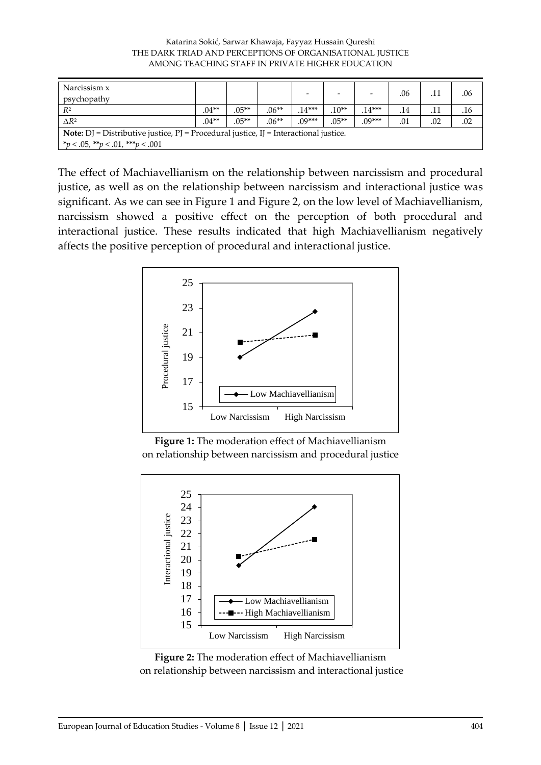| Katarina Sokić, Sarwar Khawaja, Fayyaz Hussain Qureshi   |
|----------------------------------------------------------|
| THE DARK TRIAD AND PERCEPTIONS OF ORGANISATIONAL JUSTICE |
| AMONG TEACHING STAFF IN PRIVATE HIGHER EDUCATION         |

| Narcissism x                                                                                       |         |         |         |          |         |          |     |     |     |
|----------------------------------------------------------------------------------------------------|---------|---------|---------|----------|---------|----------|-----|-----|-----|
| psychopathy                                                                                        |         |         |         |          |         |          | .06 |     | .06 |
| $R^2$                                                                                              | $.04**$ | $.05**$ | $.06**$ | $.14***$ | $.10**$ | $.14***$ | .14 |     | .16 |
| $\triangle R^2$                                                                                    | $.04**$ | $.05**$ | $.06**$ | $.09***$ | $.05**$ | $.09***$ | .01 | .02 | .02 |
| <b>Note:</b> $DJ$ = Distributive justice, $PJ$ = Procedural justice, $IJ$ = Interactional justice. |         |         |         |          |         |          |     |     |     |
| $*_p$ < .05, $*_p$ < .01, $**_p$ < .001                                                            |         |         |         |          |         |          |     |     |     |

The effect of Machiavellianism on the relationship between narcissism and procedural justice, as well as on the relationship between narcissism and interactional justice was significant. As we can see in Figure 1 and Figure 2, on the low level of Machiavellianism, narcissism showed a positive effect on the perception of both procedural and interactional justice. These results indicated that high Machiavellianism negatively affects the positive perception of procedural and interactional justice.







**Figure 2:** The moderation effect of Machiavellianism on relationship between narcissism and interactional justice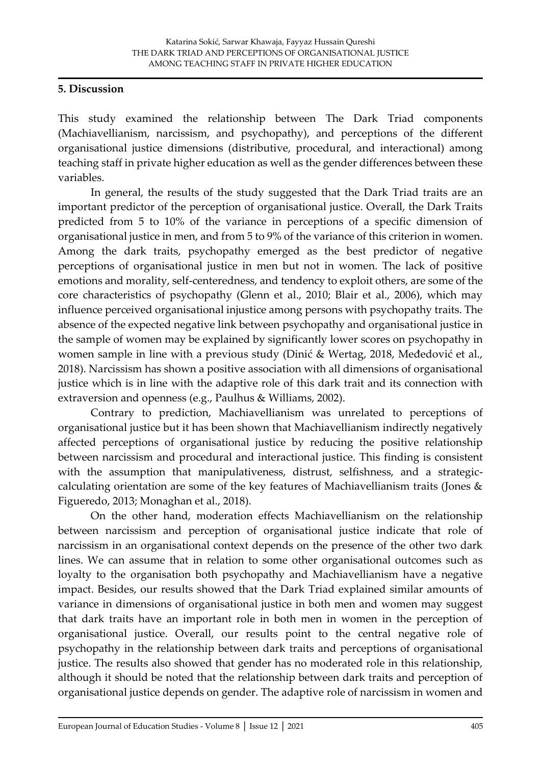#### **5. Discussion**

This study examined the relationship between The Dark Triad components (Machiavellianism, narcissism, and psychopathy), and perceptions of the different organisational justice dimensions (distributive, procedural, and interactional) among teaching staff in private higher education as well as the gender differences between these variables.

In general, the results of the study suggested that the Dark Triad traits are an important predictor of the perception of organisational justice. Overall, the Dark Traits predicted from 5 to 10% of the variance in perceptions of a specific dimension of organisational justice in men, and from 5 to 9% of the variance of this criterion in women. Among the dark traits, psychopathy emerged as the best predictor of negative perceptions of organisational justice in men but not in women. The lack of positive emotions and morality, self-centeredness, and tendency to exploit others, are some of the core characteristics of psychopathy (Glenn et al., 2010; Blair et al., 2006), which may influence perceived organisational injustice among persons with psychopathy traits. The absence of the expected negative link between psychopathy and organisational justice in the sample of women may be explained by significantly lower scores on psychopathy in women sample in line with a previous study (Dinić & Wertag, 2018, Međedović et al., 2018). Narcissism has shown a positive association with all dimensions of organisational justice which is in line with the adaptive role of this dark trait and its connection with extraversion and openness (e.g., Paulhus & Williams, 2002).

Contrary to prediction, Machiavellianism was unrelated to perceptions of organisational justice but it has been shown that Machiavellianism indirectly negatively affected perceptions of organisational justice by reducing the positive relationship between narcissism and procedural and interactional justice. This finding is consistent with the assumption that manipulativeness, distrust, selfishness, and a strategiccalculating orientation are some of the key features of Machiavellianism traits (Jones & Figueredo, 2013; Monaghan et al., 2018).

On the other hand, moderation effects Machiavellianism on the relationship between narcissism and perception of organisational justice indicate that role of narcissism in an organisational context depends on the presence of the other two dark lines. We can assume that in relation to some other organisational outcomes such as loyalty to the organisation both psychopathy and Machiavellianism have a negative impact. Besides, our results showed that the Dark Triad explained similar amounts of variance in dimensions of organisational justice in both men and women may suggest that dark traits have an important role in both men in women in the perception of organisational justice. Overall, our results point to the central negative role of psychopathy in the relationship between dark traits and perceptions of organisational justice. The results also showed that gender has no moderated role in this relationship, although it should be noted that the relationship between dark traits and perception of organisational justice depends on gender. The adaptive role of narcissism in women and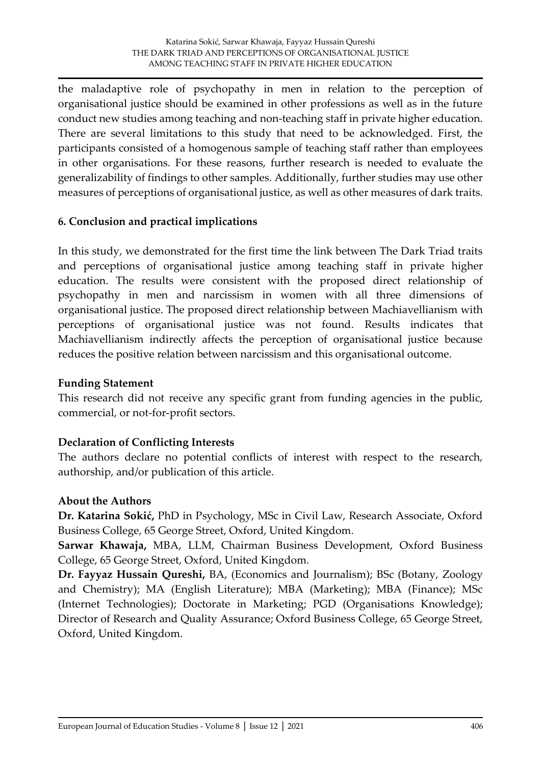the maladaptive role of psychopathy in men in relation to the perception of organisational justice should be examined in other professions as well as in the future conduct new studies among teaching and non-teaching staff in private higher education. There are several limitations to this study that need to be acknowledged. First, the participants consisted of a homogenous sample of teaching staff rather than employees in other organisations. For these reasons, further research is needed to evaluate the generalizability of findings to other samples. Additionally, further studies may use other measures of perceptions of organisational justice, as well as other measures of dark traits.

## **6. Conclusion and practical implications**

In this study, we demonstrated for the first time the link between The Dark Triad traits and perceptions of organisational justice among teaching staff in private higher education. The results were consistent with the proposed direct relationship of psychopathy in men and narcissism in women with all three dimensions of organisational justice. The proposed direct relationship between Machiavellianism with perceptions of organisational justice was not found. Results indicates that Machiavellianism indirectly affects the perception of organisational justice because reduces the positive relation between narcissism and this organisational outcome.

## **Funding Statement**

This research did not receive any specific grant from funding agencies in the public, commercial, or not-for-profit sectors.

## **Declaration of Conflicting Interests**

The authors declare no potential conflicts of interest with respect to the research, authorship, and/or publication of this article.

## **About the Authors**

**Dr. Katarina Sokić,** PhD in Psychology, MSc in Civil Law, Research Associate, Oxford Business College, 65 George Street, Oxford, United Kingdom.

**Sarwar Khawaja,** MBA, LLM, Chairman Business Development, Oxford Business College, 65 George Street, Oxford, United Kingdom.

**Dr. Fayyaz Hussain Qureshi,** BA, (Economics and Journalism); BSc (Botany, Zoology and Chemistry); MA (English Literature); MBA (Marketing); MBA (Finance); MSc (Internet Technologies); Doctorate in Marketing; PGD (Organisations Knowledge); Director of Research and Quality Assurance; Oxford Business College, 65 George Street, Oxford, United Kingdom.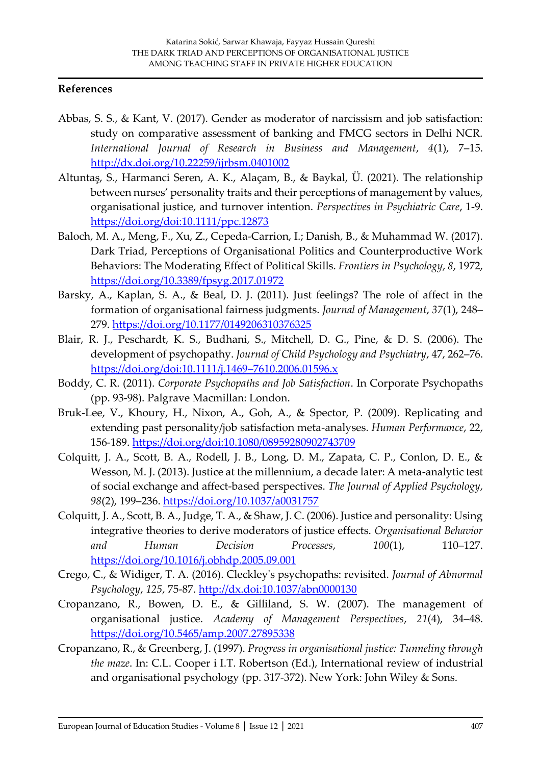#### **References**

- Abbas, S. S., & Kant, V. (2017). Gender as moderator of narcissism and job satisfaction: study on comparative assessment of banking and FMCG sectors in Delhi NCR. *International Journal of Research in Business and Management*, *4*(1), 7–15. <http://dx.doi.org/10.22259/ijrbsm.0401002>
- Altuntaş, S., Harmanci Seren, A. K., Alaçam, B., & Baykal, Ü. (2021). The relationship between nurses' personality traits and their perceptions of management by values, organisational justice, and turnover intention. *Perspectives in Psychiatric Care*, 1-9. <https://doi.org/doi:10.1111/ppc.12873>
- Baloch, M. A., Meng, F., Xu, Z., Cepeda-Carrion, I.; Danish, B., & Muhammad W. (2017). Dark Triad, Perceptions of Organisational Politics and Counterproductive Work Behaviors: The Moderating Effect of Political Skills. *Frontiers in Psychology*, *8*, 1972, [https://doi.org/10.3389/fpsyg.2017.01972](https://doi.org/doi:10.3389/fpsyg.2017.01972)
- Barsky, A., Kaplan, S. A., & Beal, D. J. (2011). Just feelings? The role of affect in the formation of organisational fairness judgments. *Journal of Management*, *37*(1), 248– 279.<https://doi.org/10.1177/0149206310376325>
- Blair, R. J., Peschardt, K. S., Budhani, S., Mitchell, D. G., Pine, & D. S. (2006). The development of psychopathy. *Journal of Child Psychology and Psychiatry*, 47, 262–76. [https://doi.org/doi:10.1111/j.1469](https://doi.org/doi:10.1111/j.1469–7610.2006.01596.x)–7610.2006.01596.x
- Boddy, C. R. (2011). *Corporate Psychopaths and Job Satisfaction*. In Corporate Psychopaths (pp. 93-98). Palgrave Macmillan: London.
- Bruk-Lee, V., Khoury, H., Nixon, A., Goh, A., & Spector, P. (2009). Replicating and extending past personality/job satisfaction meta-analyses. *Human Performance*, 22, 156-189.<https://doi.org/doi:10.1080/08959280902743709>
- Colquitt, J. A., Scott, B. A., Rodell, J. B., Long, D. M., Zapata, C. P., Conlon, D. E., & Wesson, M. J. (2013). Justice at the millennium, a decade later: A meta-analytic test of social exchange and affect-based perspectives. *The Journal of Applied Psychology*, *98*(2), 199–236.<https://doi.org/10.1037/a0031757>
- Colquitt, J. A., Scott, B. A., Judge, T. A., & Shaw, J. C. (2006). Justice and personality: Using integrative theories to derive moderators of justice effects. *Organisational Behavior and Human Decision Processes*, *100*(1), 110–127. <https://doi.org/10.1016/j.obhdp.2005.09.001>
- Crego, C., & Widiger, T. A. (2016). Cleckley's psychopaths: revisited. *Journal of Abnormal Psychology*, *125*, 75-87.<http://dx.doi:10.1037/abn0000130>
- Cropanzano, R., Bowen, D. E., & Gilliland, S. W. (2007). The management of organisational justice. *Academy of Management Perspectives*, *21*(4), 34–48. <https://doi.org/10.5465/amp.2007.27895338>
- Cropanzano, R., & Greenberg, J. (1997). *Progress in organisational justice: Tunneling through the maze*. In: C.L. Cooper i I.T. Robertson (Ed.), International review of industrial and organisational psychology (pp. 317-372). New York: John Wiley & Sons.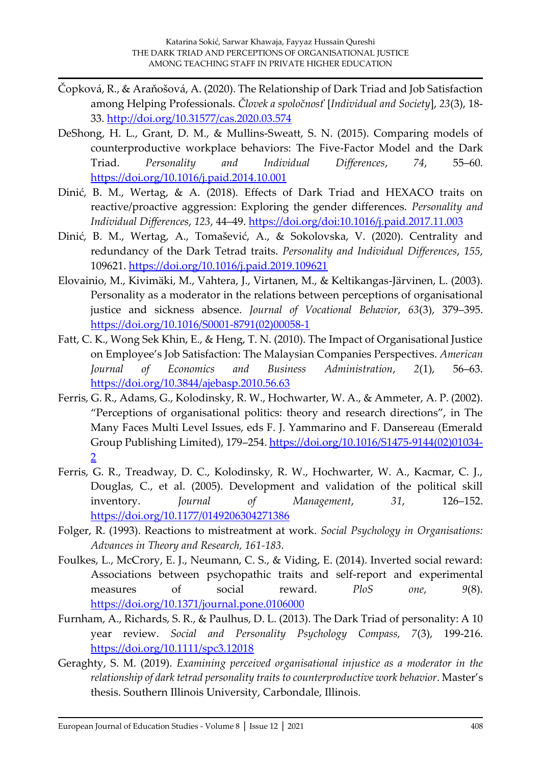- Čopková, R., & Araňošová, A. (2020). The Relationship of Dark Triad and Job Satisfaction among Helping Professionals. *Človek a spoločnosť* [*Individual and Society*], *23*(3), 18- 33.<http://doi.org/10.31577/cas.2020.03.574>
- DeShong, H. L., Grant, D. M., & Mullins-Sweatt, S. N. (2015). Comparing models of counterproductive workplace behaviors: The Five-Factor Model and the Dark Triad. *Personality and Individual Differences*, *74*, 55–60. <https://doi.org/10.1016/j.paid.2014.10.001>
- Dinić, B. M., Wertag, & A. (2018). Effects of Dark Triad and HEXACO traits on reactive/proactive aggression: Exploring the gender differences. *Personality and Individual Differences*, *123*, 44–49.<https://doi.org/doi:10.1016/j.paid.2017.11.003>
- Dinić, B. M., Wertag, A., Tomašević, A., & Sokolovska, V. (2020). Centrality and redundancy of the Dark Tetrad traits. *Personality and Individual Differences*, *155*, 109621.<https://doi.org/10.1016/j.paid.2019.109621>
- Elovainio, M., Kivimäki, M., Vahtera, J., Virtanen, M., & Keltikangas-Järvinen, L. (2003). Personality as a moderator in the relations between perceptions of organisational justice and sickness absence. *Journal of Vocational Behavior*, *63*(3), 379–395. [https://doi.org/10.1016/S0001-8791\(02\)00058-1](https://doi.org/10.1016/S0001-8791(02)00058-1)
- Fatt, C. K., Wong Sek Khin, E., & Heng, T. N. (2010). The Impact of Organisational Justice on Employee's Job Satisfaction: The Malaysian Companies Perspectives. *American Journal of Economics and Business Administration*, *2*(1), 56–63. <https://doi.org/10.3844/ajebasp.2010.56.63>
- Ferris, G. R., Adams, G., Kolodinsky, R. W., Hochwarter, W. A., & Ammeter, A. P. (2002). "Perceptions of organisational politics: theory and research directions", in The Many Faces Multi Level Issues, eds F. J. Yammarino and F. Dansereau (Emerald Group Publishing Limited), 179–254. [https://doi.org/10.1016/S1475-9144\(02\)01034-](https://doi.org/10.1016/S1475-9144(02)01034-2) [2](https://doi.org/10.1016/S1475-9144(02)01034-2)
- Ferris, G. R., Treadway, D. C., Kolodinsky, R. W., Hochwarter, W. A., Kacmar, C. J., Douglas, C., et al. (2005). Development and validation of the political skill inventory. *Journal of Management*, *31*, 126–152. <https://doi.org/10.1177/0149206304271386>
- Folger, R. (1993). Reactions to mistreatment at work. *Social Psychology in Organisations: Advances in Theory and Research, 161-183.*
- Foulkes, L., McCrory, E. J., Neumann, C. S., & Viding, E. (2014). Inverted social reward: Associations between psychopathic traits and self-report and experimental measures of social reward. *PloS one*, *9*(8). <https://doi.org/10.1371/journal.pone.0106000>
- Furnham, A., Richards, S. R., & Paulhus, D. L. (2013). The Dark Triad of personality: A 10 year review. *Social and Personality Psychology Compass, 7*(3), 199-216. <https://doi.org/10.1111/spc3.12018>
- Geraghty, S. M. (2019). *Examining perceived organisational injustice as a moderator in the relationship of dark tetrad personality traits to counterproductive work behavior*. Master's thesis. Southern Illinois University, Carbondale, Illinois.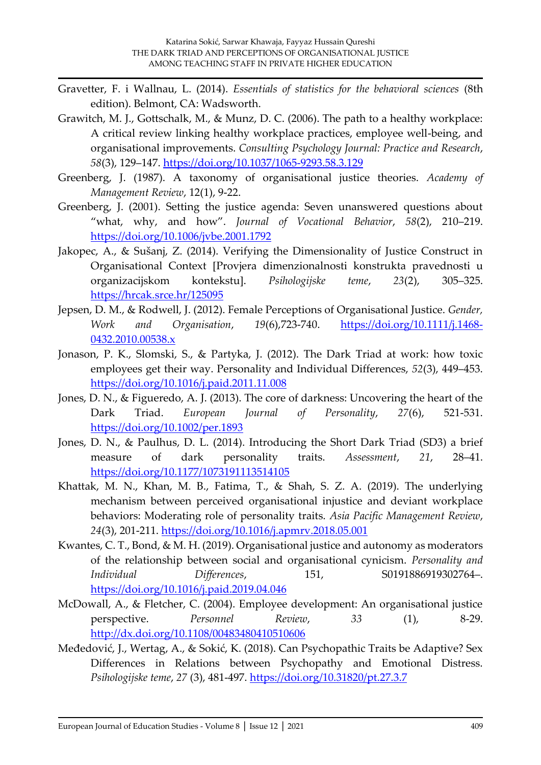- Gravetter, F. i Wallnau, L. (2014). *Essentials of statistics for the behavioral sciences* (8th edition). Belmont, CA: Wadsworth.
- Grawitch, M. J., Gottschalk, M., & Munz, D. C. (2006). The path to a healthy workplace: A critical review linking healthy workplace practices, employee well-being, and organisational improvements. *Consulting Psychology Journal: Practice and Research*, *58*(3), 129–147.<https://doi.org/10.1037/1065-9293.58.3.129>
- Greenberg, J. (1987). A taxonomy of organisational justice theories. *Academy of Management Review*, 12(1), 9-22.
- Greenberg, J. (2001). Setting the justice agenda: Seven unanswered questions about "what, why, and how". *Journal of Vocational Behavior*, *58*(2), 210–219. <https://doi.org/10.1006/jvbe.2001.1792>
- Jakopec, A., & Sušanj, Z. (2014). Verifying the Dimensionality of Justice Construct in Organisational Context [Provjera dimenzionalnosti konstrukta pravednosti u organizacijskom kontekstu]. *Psihologijske teme*, *23*(2), 305–325. <https://hrcak.srce.hr/125095>
- Jepsen, D. M., & Rodwell, J. (2012). Female Perceptions of Organisational Justice. *Gender, Work and Organisation*, *19*(6),723-740. [https://doi.org/10.1111/j.1468-](https://doi.org/10.1111/j.1468-0432.2010.00538.x) [0432.2010.00538.x](https://doi.org/10.1111/j.1468-0432.2010.00538.x)
- Jonason, P. K., Slomski, S., & Partyka, J. (2012). The Dark Triad at work: how toxic employees get their way. Personality and Individual Differences, *52*(3), 449–453. <https://doi.org/10.1016/j.paid.2011.11.008>
- Jones, D. N., & Figueredo, A. J. (2013). The core of darkness: Uncovering the heart of the Dark Triad. *European Journal of Personality*, *27*(6), 521-531. <https://doi.org/10.1002/per.1893>
- Jones, D. N., & Paulhus, D. L. (2014). Introducing the Short Dark Triad (SD3) a brief measure of dark personality traits. *Assessment*, *21*, 28–41. <https://doi.org/10.1177/1073191113514105>
- Khattak, M. N., Khan, M. B., Fatima, T., & Shah, S. Z. A. (2019). The underlying mechanism between perceived organisational injustice and deviant workplace behaviors: Moderating role of personality traits. *Asia Pacific Management Review*, *24*(3), 201-211.<https://doi.org/10.1016/j.apmrv.2018.05.001>
- Kwantes, C. T., Bond, & M. H. (2019). Organisational justice and autonomy as moderators of the relationship between social and organisational cynicism. *Personality and Individual Differences*, 151, S0191886919302764–. <https://doi.org/10.1016/j.paid.2019.04.046>
- McDowall, A., & Fletcher, C. (2004). Employee development: An organisational justice perspective. *Personnel Review*, *33* (1), 8-29. <http://dx.doi.org/10.1108/00483480410510606>
- Međedović, J., Wertag, A., & Sokić, K. (2018). Can Psychopathic Traits be Adaptive? Sex Differences in Relations between Psychopathy and Emotional Distress. *Psihologijske teme*, *27* (3), 481-497.<https://doi.org/10.31820/pt.27.3.7>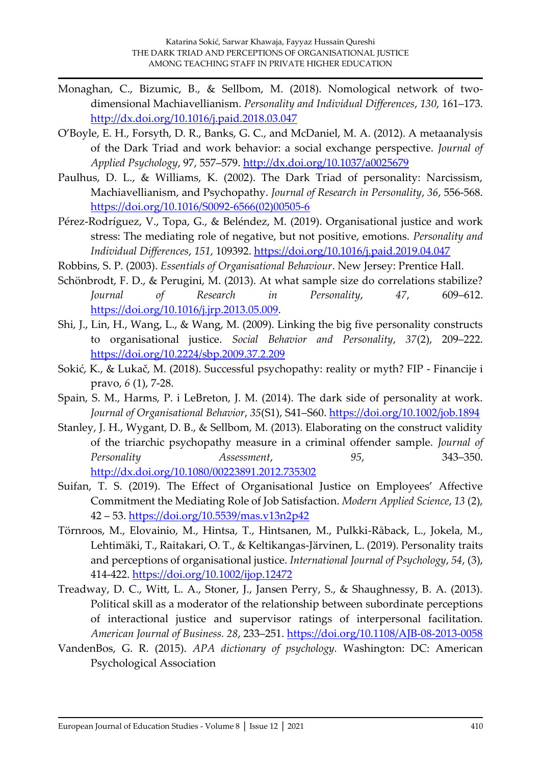- Monaghan, C., Bizumic, B., & Sellbom, M. (2018). Nomological network of twodimensional Machiavellianism. *Personality and Individual Differences*, *130*, 161–173. <http://dx.doi.org/10.1016/j.paid.2018.03.047>
- O'Boyle, E. H., Forsyth, D. R., Banks, G. C., and McDaniel, M. A. (2012). A metaanalysis of the Dark Triad and work behavior: a social exchange perspective. *Journal of Applied Psychology*, 97, 557–579.<http://dx.doi.org/10.1037/a0025679>
- Paulhus, D. L., & Williams, K. (2002). The Dark Triad of personality: Narcissism, Machiavellianism, and Psychopathy. *Journal of Research in Personality*, *36*, 556-568. [https://doi.org/10.1016/S0092-6566\(02\)00505-6](https://doi.org/10.1016/S0092-6566(02)00505-6)
- Pérez-Rodríguez, V., Topa, G., & Beléndez, M. (2019). Organisational justice and work stress: The mediating role of negative, but not positive, emotions. *Personality and Individual Differences*, *151*, 109392.<https://doi.org/10.1016/j.paid.2019.04.047>
- Robbins, S. P. (2003). *Essentials of Organisational Behaviour*. New Jersey: Prentice Hall.
- Schönbrodt, F. D., & Perugini, M. (2013). At what sample size do correlations stabilize? *Journal of Research in Personality*, *47*, 609–612. [https://doi.org/10.1016/j.jrp.2013.05.009.](https://doi.org/10.1016/j.jrp.2013.05.009)
- Shi, J., Lin, H., Wang, L., & Wang, M. (2009). Linking the big five personality constructs to organisational justice. *Social Behavior and Personality*, *37*(2), 209–222. <https://doi.org/10.2224/sbp.2009.37.2.209>
- Sokić, K., & Lukač, M. (2018). Successful psychopathy: reality or myth? FIP Financije i pravo, *6* (1), 7-28.
- Spain, S. M., Harms, P. i LeBreton, J. M. (2014). The dark side of personality at work. *Journal of Organisational Behavior*, *35*(S1), S41–S60.<https://doi.org/10.1002/job.1894>
- Stanley, J. H., Wygant, D. B., & Sellbom, M. (2013). Elaborating on the construct validity of the triarchic psychopathy measure in a criminal offender sample. *Journal of Personality Assessment*, *95*, 343–350. <http://dx.doi.org/10.1080/00223891.2012.735302>
- Suifan, T. S. (2019). The Effect of Organisational Justice on Employees' Affective Commitment the Mediating Role of Job Satisfaction. *Modern Applied Science*, *13* (2), 42 – 53.<https://doi.org/10.5539/mas.v13n2p42>
- Törnroos, M., Elovainio, M., Hintsa, T., Hintsanen, M., Pulkki-Råback, L., Jokela, M., Lehtimäki, T., Raitakari, O. T., & Keltikangas-Järvinen, L. (2019). Personality traits and perceptions of organisational justice. *International Journal of Psychology*, *54*, (3), 414-422.<https://doi.org/10.1002/ijop.12472>
- Treadway, D. C., Witt, L. A., Stoner, J., Jansen Perry, S., & Shaughnessy, B. A. (2013). Political skill as a moderator of the relationship between subordinate perceptions of interactional justice and supervisor ratings of interpersonal facilitation. *American Journal of Business. 28*, 233–251.<https://doi.org/10.1108/AJB-08-2013-0058>
- VandenBos, G. R. (2015). *APA dictionary of psychology.* Washington: DC: American Psychological Association